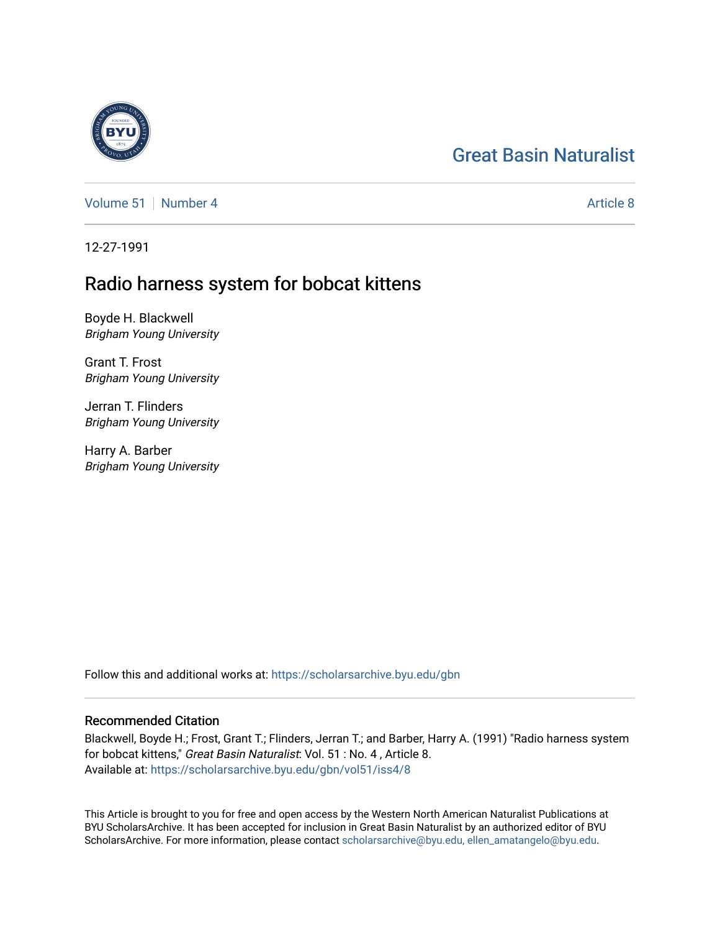# [Great Basin Naturalist](https://scholarsarchive.byu.edu/gbn)

[Volume 51](https://scholarsarchive.byu.edu/gbn/vol51) [Number 4](https://scholarsarchive.byu.edu/gbn/vol51/iss4) [Article 8](https://scholarsarchive.byu.edu/gbn/vol51/iss4/8) Article 8

12-27-1991

# Radio harness system for bobcat kittens

Boyde H. Blackwell Brigham Young University

Grant T. Frost Brigham Young University

Jerran T. Flinders Brigham Young University

Harry A. Barber Brigham Young University

Follow this and additional works at: [https://scholarsarchive.byu.edu/gbn](https://scholarsarchive.byu.edu/gbn?utm_source=scholarsarchive.byu.edu%2Fgbn%2Fvol51%2Fiss4%2F8&utm_medium=PDF&utm_campaign=PDFCoverPages) 

## Recommended Citation

Blackwell, Boyde H.; Frost, Grant T.; Flinders, Jerran T.; and Barber, Harry A. (1991) "Radio harness system for bobcat kittens," Great Basin Naturalist: Vol. 51 : No. 4 , Article 8. Available at: [https://scholarsarchive.byu.edu/gbn/vol51/iss4/8](https://scholarsarchive.byu.edu/gbn/vol51/iss4/8?utm_source=scholarsarchive.byu.edu%2Fgbn%2Fvol51%2Fiss4%2F8&utm_medium=PDF&utm_campaign=PDFCoverPages)

This Article is brought to you for free and open access by the Western North American Naturalist Publications at BYU ScholarsArchive. It has been accepted for inclusion in Great Basin Naturalist by an authorized editor of BYU ScholarsArchive. For more information, please contact [scholarsarchive@byu.edu, ellen\\_amatangelo@byu.edu.](mailto:scholarsarchive@byu.edu,%20ellen_amatangelo@byu.edu)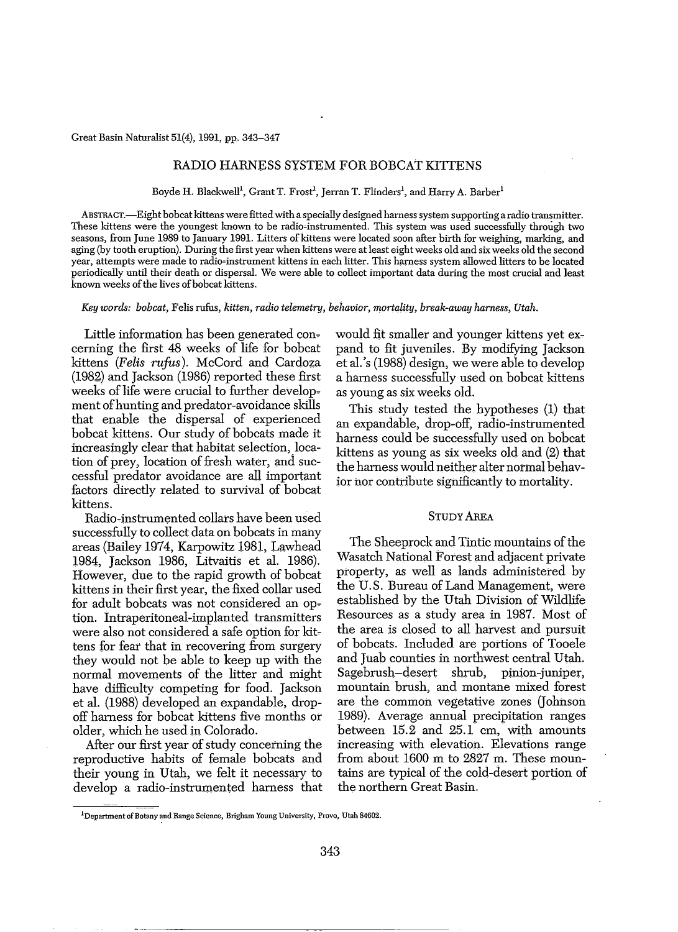### RADIO HARNESS SYSTEM FOR BOBCAT KITTENS

Boyde H. Blackwell<sup>1</sup>, Grant T. Frost<sup>1</sup>, Jerran T. Flinders<sup>1</sup>, and Harry A. Barber<sup>1</sup>

ABSTRACT.-Eight bobcat kittens were fitted with a specially designed harnesssystem supporting a radio transmitter. These kittens were the youngest known to be radio-instrumented. This system was used successfully through two seasons, from June 1989 to January 1991. Litters of kittens were located soon after birth for weighing, marking, and aging (by tooth eruption). During the first year when kittens were at least eight weeks old and six weeks old the second year, attempts were made to radio~instrument kittens in each litter. This harness system allowed litters to be located periodically until their death or dispersal. We were able to collect important data during the most crucial and least known weeks of the lives of bobcat kittens.

*Key words: bobcat,* Felis rufus, *kitten, radio telemetry, behavior, mortality, break-away harness, Utah.*

Little information has been generated concerning the first 48 weeks of life for bobcat kittens *(Felis rufus).* McCord and Cardoza (1982) and Jackson (1986) reported these first weeks of life were crucial to further development of hunting and predator-avoidance skills that enable the dispersal of experienced bobcat kittens. Our study of bobcats made it increasingly clear that habitat selection, location of prey, location of fresh water, and successful predator avoidance are all important factors directly related to survival of bobcat kittens.

Radio-instrumented collars have been used successfully to collect data on bobcats in many areas (Bailey 1974, Karpowitz 1981, Lawhead 1984, Jackson 1986, Litvaitis et al. 1986). However, due to the rapid growth of bobcat kittens in their first year, the fixed collar used for adult bobcats was not considered an option. Intraperitoneal-implanted transmitters were also not considered a safe option for kittens for fear that in recovering from surgery they would not be able to keep up with the normal movements of the litter and might have difficulty competing for food. Jackson et al. (1988) developed an expandable, dropoff harness for bobcat kittens five months or older, which he used in Colorado.

After our first year of study concerning the reproductive habits of female bobcats and their young in Utah, we felt it necessary to develop a radio-instrumented harness that would fit smaller and younger kittens yet expand to fit juveniles. By modifying Jackson et al.'s (1988) design, we were able to develop a harness successfully used on bobcat kittens as young as six weeks old.

This study tested the hypotheses (1) that an expandable, drop-off, radio-instrumented harness could be successfully used on bobcat kittens as young as six weeks old and (2) that the harness would neither alter normal behavior nor contribute significantly to mortality.

#### STUDY AREA

The Sheeprock and Tintic mountains of the Wasatch National Forest and adjacent private property, as well as lands administered by the U.S. Bureau of Land Management, were established by the Utah Division of Wildlife Resources as a study area in 1987. Most of the area is closed to all harvest and pursuit of bobcats. Included are portions of Tooele and Juab counties in northwest central Utah. Sagebrush-desert shrub, pinion-juniper, mountain brush, and montane mixed forest are the common vegetative zones (Johnson 1989). Average annual precipitation ranges between 15.2 and 25.1 cm, with amounts increasing with elevation. Elevations range from about 1600 m to 2827 m. These mountains are typical of the cold-desert portion of the northern Great Basin.

<sup>&</sup>lt;sup>1</sup>Department of Botany and Range Science, Brigham Young University, Provo, Utah 84602.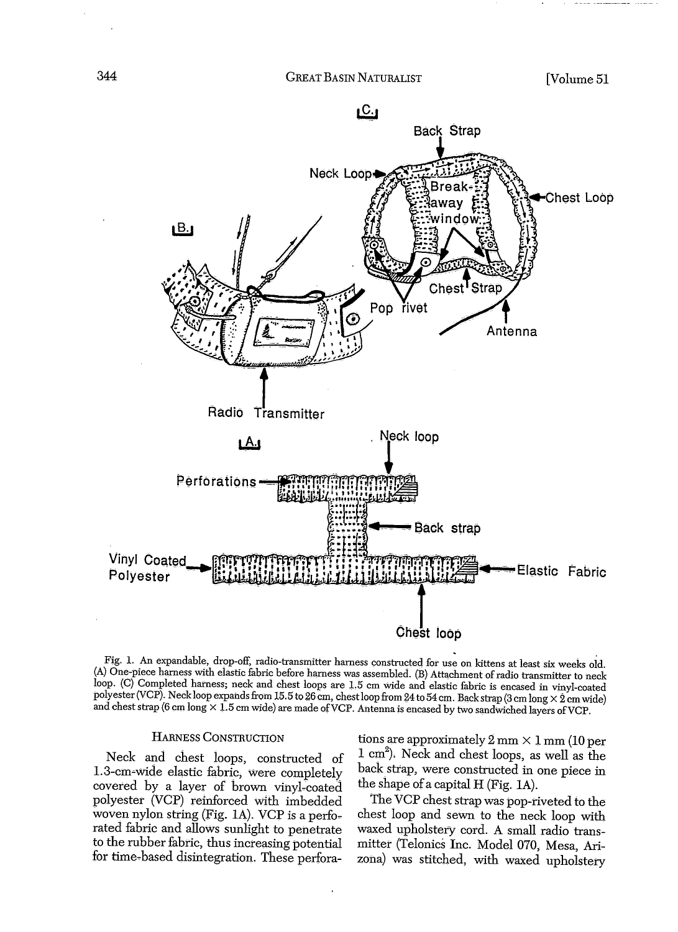

Fig. 1. An expandable, drop-off, radio-transmitter harness constructed for use on kittens at least six weeks old. (A) One-piece harness with elastic fabric before harness was assembled. (B) Attachment ofradio transmitter to neck loop. (C) Completed harness; neck and chest loops are 1.5 cm wide and elastic fabric is encased in vinyl-coated polyester (VCP). Neck loop expands from 15.5 to 26 cm, chest loop from 24 to 54 cm. Back strap (3 cm long  $\times$  2 cm wide) and chest strap (6 cm long  $\times$  1.5 cm wide) are made of VCP. Antenna is encased by two sandwiched layers of VCP.

#### HARNESS CONSTRUCTION

Neck and chest loops, constructed of 1.3-cm~Wide elastic fabric, Were completely covered by a layer of brown vinyl-coated polyester (VCP) reinforced With imbedded woven nylon string (Fig. 1A). VCP is a perforated fabric and allows sunlight to penetrate to the rubber fabric, thus increasing potential for time~based disintegration. These perforations are approximately 2 mm X 1 mm (10 *per* 1 cm2 ). Neck and chest loops, as well as the back strap, Were constructed in one piece in the shape of a capital  $H$  (Fig. 1A).

The VCP chest strap was pop-riveted to the chest loop and sewn to the neck loop With waxed upholstery cord. A small radio transmitter (Telonics Inc. Model 070, Mesa, Arizona) was stitched, With waxed upholstery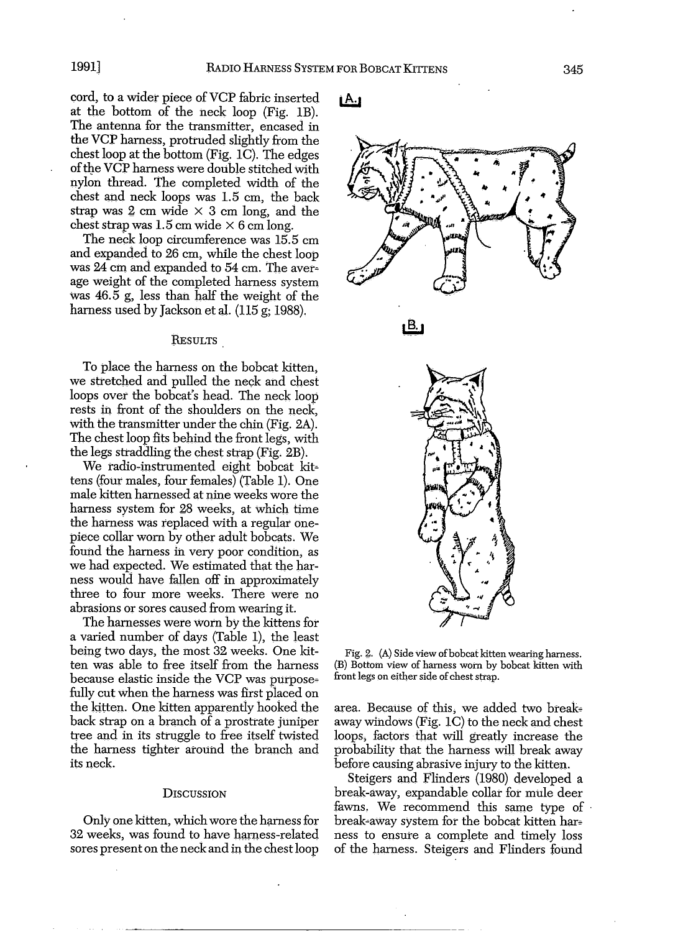cord, to a wider piece of VCP fabric inserted at the bottom of the neck loop (Fig. IB). The antenna for the transmitter, encased in the VCP harness, protruded slightly from the chest loop at the bottom (Fig. 1C). The edges of the VCP harness were double stitched with nylon thread. The completed width of the chest and neck loops was 1.5 cm, the back strap was  $2 \text{ cm}$  wide  $\times$  3 cm long, and the chest strap was  $1.5$  cm wide  $\times$  6 cm long.

The neck loop circumference was 15.5 cm and expanded to 26 cm, while the chest loop was 24 cm and expanded to 54 cm. The average weight of the completed harness system Was 46.5 g, less than half the weight of the harness used by Jackson et al. (115 g; 1988).

#### RESULTS

To place the harness on the bobcat kitten, we stretched and pulled the neck and chest loops over the bobcat's head. The neck loop rests in front of the shoulders on the neck, with the transmitter under the chin (Fig. 2A). The chest loop fits behind the front legs, with the legs straddling the chest strap (Fig. 2B).

We radio-instrumented eight bobcat kittens (four males, four females) (Table 1). One male kitten harnessed at nine weeks wore the harness system for 28 weeks, at which time the harness was replaced with a regular onepiece collar worn by other adult bobcats. We found the harness in very poor condition, as we had expected. We estimated that the harness would have fallen off in approximately three to four more weeks. There were no abrasions or sores caused from wearing it.

The harnesses were worn by the kittens for a varied number of days (Table 1), the least being two days, the most 32 weeks. One kitten was able to free itself from the harness because elastic inside the VCP was purposefully cut when the harness was first placed on the kitten. One kitten apparently hooked the back strap on a branch of a prostrate juniper tree and in its struggle to free itself twisted the harness tighter around the branch and its neck.

#### **DISCUSSION**

Only one kitten, which wore the harness for 32 weeks, was found to have harness-related sores present on the neck and in the chest loop

### <u>i A.j</u>







Fig. 2. (A) Side view of bobcat kitten wearing harness. (B) Bottom view of harness worn by bobcat kitten with front legs on either side of chest strap.

area. Because of this, we added two breakaway windows (Fig. 1C) to the neck and chest loops, factors that will greatly increase the probability that the harness will break away before causing abrasive injury to the kitten.

Steigers and Flinders (1980) developed a break-away, expandable collar for mule deer fawns. We recommend this same type of break-away system for the bobcat kitten harness to ensure a complete and timely loss of the harness. Steigers and Flinders found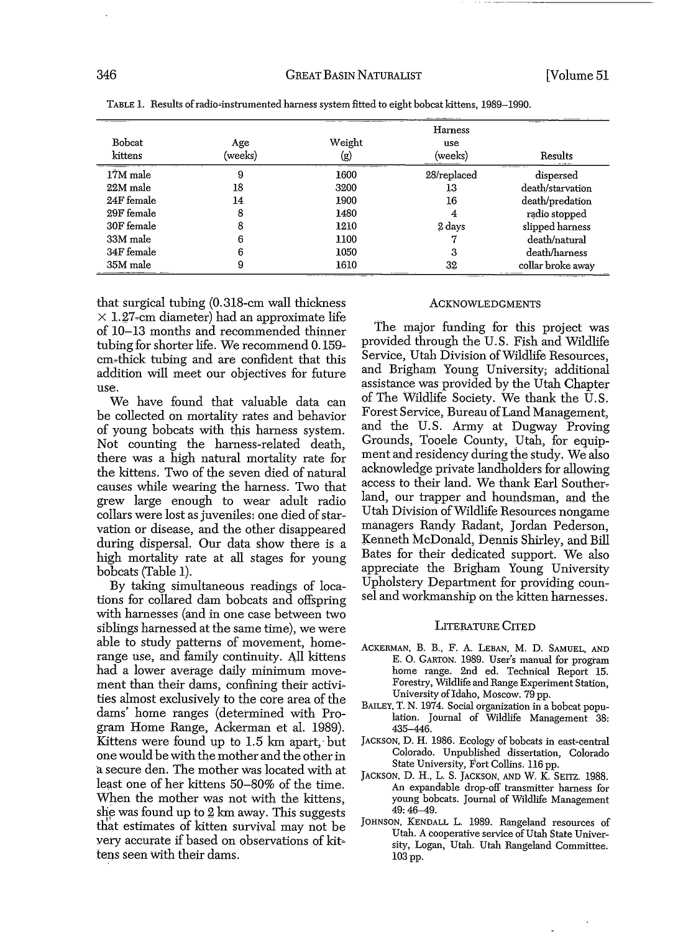| Bobcat<br>kittens | Age<br>(weeks) | Weight<br>(g) | Harness<br>use<br>(weeks) | Results           |
|-------------------|----------------|---------------|---------------------------|-------------------|
| 17M male          | 9              | 1600          | 28/replaced               | dispersed         |
| $22M$ male        | 18             | 3200          | 13                        | death/starvation  |
| 24F female        | 14             | 1900          | 16                        | death/predation   |
| 29F female        | 8              | 1480          |                           | radio stopped     |
| 30F female        |                | 1210          | 2 days                    | slipped harness   |
| 33M male          |                | 1100          |                           | death/natural     |
| 34F female        |                | 1050          |                           | death/harness     |
| 35M male          |                | 1610          | 32                        | collar broke away |

TABLE 1. Results of radio-instrumented harness system fitted to eight bobcat kittens, 1989-1990.

that surgical tubing (0.318-cm wall thiclmess  $\times$  1.27-cm diameter) had an approximate life of 10-13 months and recommended thinner tubing for shorter life. We recommend 0.159cm~thick tubing and are confident that this addition will meet our objectives for future use.

We have found that valuable data can be collected on mortality rates and behavior of young bobcats with this harness system. Not counting the harness-related death, there Was a high natural mortality rate for the kittens. Two of the seven died of natural causes while wearing the harness. Two that grew large enough to wear adult radio collars were lost as juveniles; one died of starvation or disease, and the other disappeared during dispersal. Our data show there is a high mortality rate at all stages for young bobcats (Table 1).

By taking simultaneous readings of locations for collared dam bobcats and offspring with harnesses (and in one case between two siblings harnessed at the same time), we were able to study patterns of movement, homerange use, and family continuity. All kittens had a lower average daily minimum movement than their dams, confining their activities almost exclusively to the core area of the dams' home ranges (determined with Program Home Range, Ackerman et al. 1989). Kittens were found up to 1.5 km apart; but one would be with the mother and the otherin a secure den. The mother Was located with at least one of her kittens 50-80% of the time. When the mother was not with the kittens, she was found up to  $2 \text{ km}$  away. This suggests that estimates of kitten survival may not be very accurate if based on observations of kit~ tens seen with their dams.

#### ACKNOWLEDGMENTS

The major funding for this project was provided through the U.S. Fish and Wildlife Service, Utah Division of Wildlife Resources, and Brigham Young University; additional assistance was provided by the Utah Chapter of The Wildlife Society. We thank the  $\hat{U}$ .S. Forest Service, Bureau ofLand Management, and the U.S. Army at Dugway Proving Grounds, Tooele County, Utah, for equipment and residency during the study. We also aclmowledge private landholders for allowing access to their land. We thank Earl Southerland, our trapper and houndsman, and the Utah Division ofWildlife Resources nongame managers Randy Radant, Jordan Pederson, Kenneth McDonald, Dennis Shirley, and Bill Bates for their dedicated support. We also appreciate the Brigham Young University Upholstery Department for providing coun~ sel and workmanship on the kitten harnesses.

#### LITERATURE CITED

- ACKERMAN, B. B., F. A. LEBAN, M. D. SAMUEL, AND E. O. GARTON. 1989. User's manual for program home range. 2nd ed. Technical Report 15. Forestry, Wildlife and Range Experiment Station, University of Idaho, Moscow. 79 pp.
- BAILEY, T. N. 1974. Social organization in a bobcat population. Journal of Wildlife Management 38: 435-446.
- JACKSON, D. H. 1986. Ecology of bobcats in east-central Colorado. Unpublished dissertation, Colorado State University, Fort Collins. 116 pp.
- JACKSON, D. H., L. S. JACKSON. AND W. K. SEITZ. 1988. An expandable drop-off transmitter harness for young bobcats. Journal of Wildlife Management 49:46-49.
- JOHNSON, KENDALL L. 1989. Rangeland resources of Utah. A cooperative service of Utah State University, Logan, Utah. Utah Rangeland Committee. 103pp.